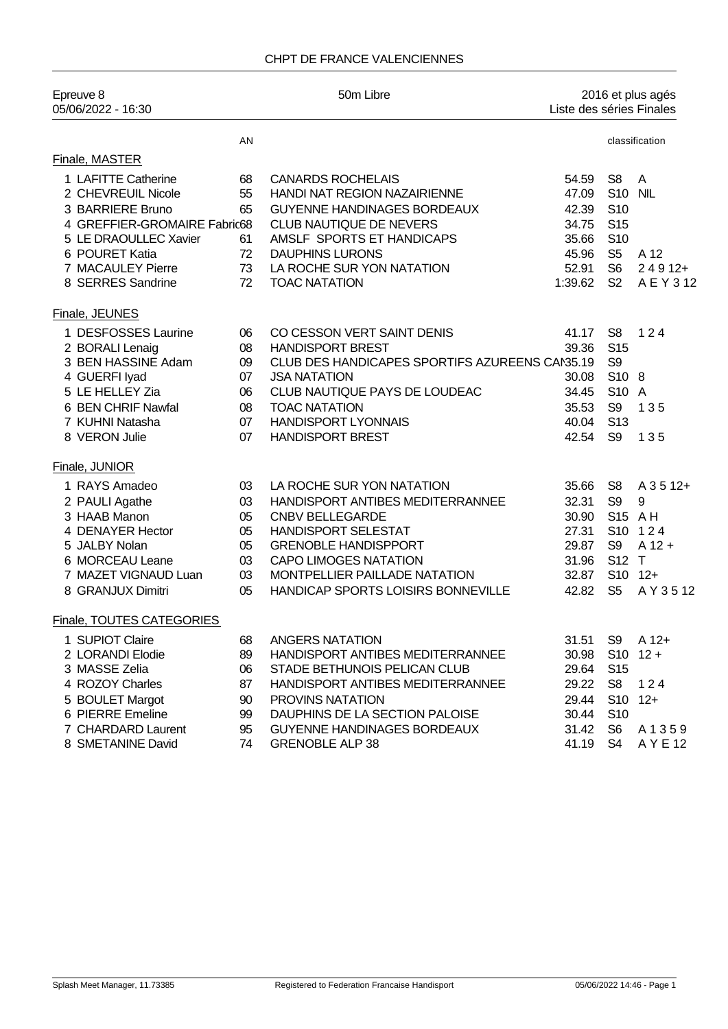| Epreuve 8<br>05/06/2022 - 16:30 |    | 50m Libre                                      |         | 2016 et plus agés<br>Liste des séries Finales |                |
|---------------------------------|----|------------------------------------------------|---------|-----------------------------------------------|----------------|
|                                 | AN |                                                |         |                                               | classification |
| Finale, MASTER                  |    |                                                |         |                                               |                |
| 1 LAFITTE Catherine             | 68 | <b>CANARDS ROCHELAIS</b>                       | 54.59   | S <sub>8</sub>                                | $\overline{A}$ |
| 2 CHEVREUIL Nicole              | 55 | HANDI NAT REGION NAZAIRIENNE                   | 47.09   | S <sub>10</sub>                               | <b>NIL</b>     |
| 3 BARRIERE Bruno                | 65 | <b>GUYENNE HANDINAGES BORDEAUX</b>             | 42.39   | S <sub>10</sub>                               |                |
| 4 GREFFIER-GROMAIRE Fabric68    |    | CLUB NAUTIQUE DE NEVERS                        | 34.75   | S <sub>15</sub>                               |                |
| 5 LE DRAOULLEC Xavier           | 61 | AMSLF SPORTS ET HANDICAPS                      | 35.66   | S <sub>10</sub>                               |                |
| 6 POURET Katia                  | 72 | <b>DAUPHINS LURONS</b>                         | 45.96   | S <sub>5</sub>                                | A 12           |
| 7 MACAULEY Pierre               | 73 | LA ROCHE SUR YON NATATION                      | 52.91   | S <sub>6</sub>                                | $24912+$       |
| 8 SERRES Sandrine               | 72 | <b>TOAC NATATION</b>                           | 1:39.62 | S <sub>2</sub>                                | A E Y 3 12     |
| Finale, JEUNES                  |    |                                                |         |                                               |                |
| 1 DESFOSSES Laurine             | 06 | CO CESSON VERT SAINT DENIS                     | 41.17   | S <sub>8</sub>                                | 124            |
| 2 BORALI Lenaig                 | 08 | <b>HANDISPORT BREST</b>                        | 39.36   | S <sub>15</sub>                               |                |
| 3 BEN HASSINE Adam              | 09 | CLUB DES HANDICAPES SPORTIFS AZUREENS CAN35.19 |         | S <sub>9</sub>                                |                |
| 4 GUERFI Iyad                   | 07 | <b>JSA NATATION</b>                            | 30.08   | S10 8                                         |                |
| 5 LE HELLEY Zia                 | 06 | CLUB NAUTIQUE PAYS DE LOUDEAC                  | 34.45   | S10 A                                         |                |
| 6 BEN CHRIF Nawfal              | 08 | <b>TOAC NATATION</b>                           | 35.53   | S <sub>9</sub>                                | 135            |
| 7 KUHNI Natasha                 | 07 | <b>HANDISPORT LYONNAIS</b>                     | 40.04   | S <sub>13</sub>                               |                |
| 8 VERON Julie                   | 07 | <b>HANDISPORT BREST</b>                        | 42.54   | S <sub>9</sub>                                | 135            |
| Finale, JUNIOR                  |    |                                                |         |                                               |                |
| 1 RAYS Amadeo                   | 03 | LA ROCHE SUR YON NATATION                      | 35.66   | S <sub>8</sub>                                | A 3 5 12+      |
| 2 PAULI Agathe                  | 03 | HANDISPORT ANTIBES MEDITERRANNEE               | 32.31   | S <sub>9</sub>                                | 9              |
| 3 HAAB Manon                    | 05 | <b>CNBV BELLEGARDE</b>                         | 30.90   | S15 AH                                        |                |
| 4 DENAYER Hector                | 05 | <b>HANDISPORT SELESTAT</b>                     | 27.31   |                                               | S10 124        |
| 5 JALBY Nolan                   | 05 | <b>GRENOBLE HANDISPPORT</b>                    | 29.87   | S <sub>9</sub>                                | $A$ 12 +       |
| 6 MORCEAU Leane                 | 03 | <b>CAPO LIMOGES NATATION</b>                   | 31.96   | S12 T                                         |                |
| 7 MAZET VIGNAUD Luan            | 03 | MONTPELLIER PAILLADE NATATION                  | 32.87   | S10 12+                                       |                |
| 8 GRANJUX Dimitri               | 05 | HANDICAP SPORTS LOISIRS BONNEVILLE             | 42.82   | S <sub>5</sub>                                | A Y 3 5 12     |
| Finale, TOUTES CATEGORIES       |    |                                                |         |                                               |                |
| 1 SUPIOT Claire                 | 68 | <b>ANGERS NATATION</b>                         | 31.51   | S <sub>9</sub>                                | A 12+          |
| 2 LORANDI Elodie                | 89 | HANDISPORT ANTIBES MEDITERRANNEE               | 30.98   | S <sub>10</sub>                               | $12 +$         |
| 3 MASSE Zelia                   | 06 | STADE BETHUNOIS PELICAN CLUB                   | 29.64   | S <sub>15</sub>                               |                |
| 4 ROZOY Charles                 | 87 | HANDISPORT ANTIBES MEDITERRANNEE               | 29.22   | S <sub>8</sub>                                | 124            |
| 5 BOULET Margot                 | 90 | <b>PROVINS NATATION</b>                        | 29.44   | S <sub>10</sub>                               | $12+$          |
| 6 PIERRE Emeline                | 99 | DAUPHINS DE LA SECTION PALOISE                 | 30.44   | S <sub>10</sub>                               |                |
| 7 CHARDARD Laurent              | 95 | <b>GUYENNE HANDINAGES BORDEAUX</b>             | 31.42   | S <sub>6</sub>                                | A1359          |
| 8 SMETANINE David               | 74 | <b>GRENOBLE ALP 38</b>                         | 41.19   | S <sub>4</sub>                                | A Y E 12       |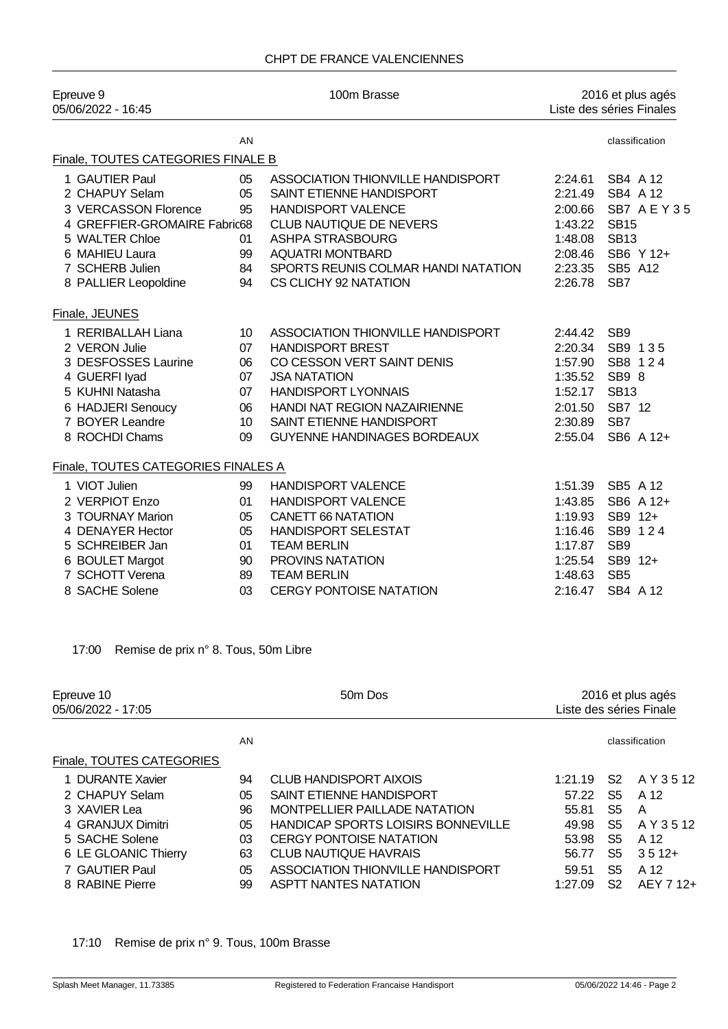| Epreuve 9<br>05/06/2022 - 16:45     | 100m Brasse     |                                     | 2016 et plus agés<br>Liste des séries Finales |                 |  |
|-------------------------------------|-----------------|-------------------------------------|-----------------------------------------------|-----------------|--|
|                                     | AN              |                                     |                                               | classification  |  |
| Finale, TOUTES CATEGORIES FINALE B  |                 |                                     |                                               |                 |  |
| 1 GAUTIER Paul                      | 05              | ASSOCIATION THIONVILLE HANDISPORT   | 2:24.61                                       | SB4 A 12        |  |
| 2 CHAPUY Selam                      | 05              | SAINT ETIENNE HANDISPORT            | 2:21.49                                       | SB4 A 12        |  |
| 3 VERCASSON Florence                | 95              | <b>HANDISPORT VALENCE</b>           | 2:00.66                                       | SB7 AEY35       |  |
| 4 GREFFIER-GROMAIRE Fabric68        |                 | <b>CLUB NAUTIQUE DE NEVERS</b>      | 1:43.22                                       | <b>SB15</b>     |  |
| 5 WALTER Chloe                      | 01              | <b>ASHPA STRASBOURG</b>             | 1:48.08                                       | <b>SB13</b>     |  |
| 6 MAHIEU Laura                      | 99              | <b>AQUATRI MONTBARD</b>             | 2:08.46                                       | SB6 Y 12+       |  |
| 7 SCHERB Julien                     | 84              | SPORTS REUNIS COLMAR HANDI NATATION | 2:23.35                                       | SB5 A12         |  |
| 8 PALLIER Leopoldine                | 94              | CS CLICHY 92 NATATION               | 2:26.78                                       | SB <sub>7</sub> |  |
| Finale, JEUNES                      |                 |                                     |                                               |                 |  |
| 1 RERIBALLAH Liana                  | 10              | ASSOCIATION THIONVILLE HANDISPORT   | 2:44.42                                       | SB <sub>9</sub> |  |
| 2 VERON Julie                       | 07              | <b>HANDISPORT BREST</b>             | 2:20.34                                       | SB9 135         |  |
| 3 DESFOSSES Laurine                 | 06              | CO CESSON VERT SAINT DENIS          | 1:57.90                                       | SB8 124         |  |
| 4 GUERFI Iyad                       | 07              | <b>JSA NATATION</b>                 | 1:35.52                                       | SB9 8           |  |
| 5 KUHNI Natasha                     | 07              | <b>HANDISPORT LYONNAIS</b>          | 1:52.17                                       | <b>SB13</b>     |  |
| 6 HADJERI Senoucy                   | 06              | HANDI NAT REGION NAZAIRIENNE        | 2:01.50                                       | SB7 12          |  |
| 7 BOYER Leandre                     | 10 <sup>°</sup> | SAINT ETIENNE HANDISPORT            | 2:30.89                                       | SB <sub>7</sub> |  |
| 8 ROCHDI Chams                      | 09              | <b>GUYENNE HANDINAGES BORDEAUX</b>  | 2:55.04                                       | SB6 A 12+       |  |
| Finale, TOUTES CATEGORIES FINALES A |                 |                                     |                                               |                 |  |
| 1 VIOT Julien                       | 99              | <b>HANDISPORT VALENCE</b>           | 1:51.39                                       | SB5 A 12        |  |
| 2 VERPIOT Enzo                      | 01              | <b>HANDISPORT VALENCE</b>           | 1:43.85                                       | SB6 A 12+       |  |
| 3 TOURNAY Marion                    | 05              | <b>CANETT 66 NATATION</b>           | 1:19.93                                       | SB9 12+         |  |
| 4 DENAYER Hector                    | 05              | <b>HANDISPORT SELESTAT</b>          | 1:16.46                                       | SB9 124         |  |
| 5 SCHREIBER Jan                     | 01              | <b>TEAM BERLIN</b>                  | 1:17.87                                       | SB <sub>9</sub> |  |
| 6 BOULET Margot                     | 90              | PROVINS NATATION                    | 1:25.54                                       | SB9 12+         |  |
| 7 SCHOTT Verena                     | 89              | <b>TEAM BERLIN</b>                  | 1:48.63                                       | SB <sub>5</sub> |  |
| 8 SACHE Solene                      | 03              | <b>CERGY PONTOISE NATATION</b>      | 2:16.47                                       | SB4 A 12        |  |

17:00 Remise de prix n° 8. Tous, 50m Libre

| Epreuve 10<br>05/06/2022 - 17:05 |    | 50 <sub>m</sub> Dos                       | 2016 et plus agés<br>Liste des séries Finale |    |                |
|----------------------------------|----|-------------------------------------------|----------------------------------------------|----|----------------|
|                                  | AN |                                           |                                              |    | classification |
| Finale, TOUTES CATEGORIES        |    |                                           |                                              |    |                |
| 1 DURANTE Xavier                 | 94 | <b>CLUB HANDISPORT AIXOIS</b>             | 1:21.19                                      | S2 | A Y 3 5 12     |
| 2 CHAPUY Selam                   | 05 | SAINT ETIENNE HANDISPORT                  | 57.22                                        | S5 | A 12           |
| 3 XAVIER Lea                     | 96 | MONTPELLIER PAILLADE NATATION             | 55.81                                        | S5 | A              |
| 4 GRANJUX Dimitri                | 05 | <b>HANDICAP SPORTS LOISIRS BONNEVILLE</b> | 49.98                                        | S5 | A Y 3 5 12     |
| 5 SACHE Solene                   | 03 | <b>CERGY PONTOISE NATATION</b>            | 53.98                                        | S5 | A 12           |
| 6 LE GLOANIC Thierry             | 63 | CLUB NAUTIQUE HAVRAIS                     | 56.77                                        | S5 | $3512+$        |
| 7 GAUTIER Paul                   | 05 | ASSOCIATION THIONVILLE HANDISPORT         | 59.51                                        | S5 | A 12           |
| 8 RABINE Pierre                  | 99 | <b>ASPTT NANTES NATATION</b>              | 1:27.09                                      | S2 | AEY 7 12+      |

17:10 Remise de prix n° 9. Tous, 100m Brasse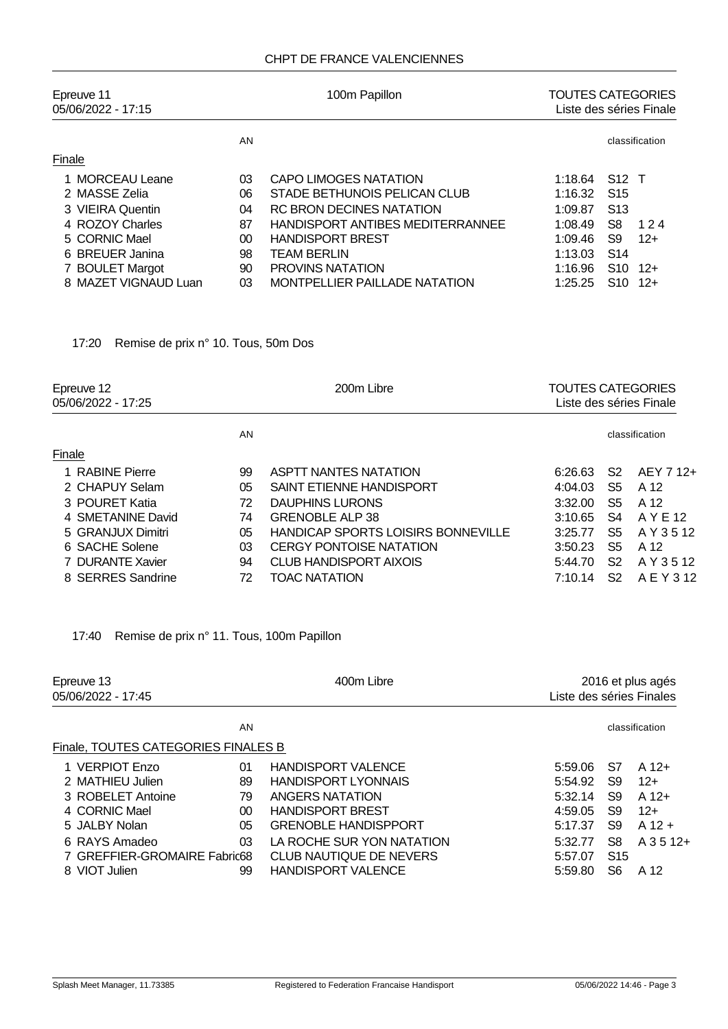## CHPT DE FRANCE VALENCIENNES

| Epreuve 11<br>05/06/2022 - 17:15 |    | 100m Papillon                        | <b>TOUTES CATEGORIES</b><br>Liste des séries Finale |                 |                |  |
|----------------------------------|----|--------------------------------------|-----------------------------------------------------|-----------------|----------------|--|
|                                  | AN |                                      |                                                     |                 | classification |  |
| Finale                           |    |                                      |                                                     |                 |                |  |
| 1 MORCEAU Leane                  | 03 | CAPO LIMOGES NATATION                | 1:18.64                                             | S12 T           |                |  |
| 2 MASSE Zelia                    | 06 | STADE BETHUNOIS PELICAN CLUB         | 1:16.32                                             | S <sub>15</sub> |                |  |
| 3 VIEIRA Quentin                 | 04 | RC BRON DECINES NATATION             | 1:09.87                                             | S <sub>13</sub> |                |  |
| 4 ROZOY Charles                  | 87 | HANDISPORT ANTIBES MEDITERRANNEE     | 1:08.49                                             | S8              | 124            |  |
| 5 CORNIC Mael                    | 00 | <b>HANDISPORT BREST</b>              | 1:09.46                                             | S9              | $12+$          |  |
| 6 BREUER Janina                  | 98 | <b>TEAM BERLIN</b>                   | 1:13.03                                             | S <sub>14</sub> |                |  |
| 7 BOULET Margot                  | 90 | PROVINS NATATION                     | 1:16.96                                             | S <sub>10</sub> | $12+$          |  |
| 8 MAZET VIGNAUD Luan             | 03 | <b>MONTPELLIER PAILLADE NATATION</b> | 1:25.25                                             | S <sub>10</sub> | $12+$          |  |

17:20 Remise de prix n° 10. Tous, 50m Dos

| Epreuve 12<br>05/06/2022 - 17:25 |    | 200m Libre                                | <b>TOUTES CATEGORIES</b><br>Liste des séries Finale |                |                |
|----------------------------------|----|-------------------------------------------|-----------------------------------------------------|----------------|----------------|
|                                  | AN |                                           |                                                     |                | classification |
| Finale                           |    |                                           |                                                     |                |                |
| 1 RABINE Pierre                  | 99 | <b>ASPTT NANTES NATATION</b>              | 6:26.63                                             | S <sub>2</sub> | AEY 7 12+      |
| 2 CHAPUY Selam                   | 05 | SAINT ETIENNE HANDISPORT                  | 4:04.03                                             | S5             | A 12           |
| 3 POURET Katia                   | 72 | DAUPHINS LURONS                           | 3:32.00                                             | S5.            | A 12           |
| 4 SMETANINE David                | 74 | <b>GRENOBLE ALP 38</b>                    | 3:10.65                                             | S4             | A Y E 12       |
| 5 GRANJUX Dimitri                | 05 | <b>HANDICAP SPORTS LOISIRS BONNEVILLE</b> | 3:25.77                                             | S5             | A Y 3 5 12     |
| 6 SACHE Solene                   | 03 | <b>CERGY PONTOISE NATATION</b>            | 3:50.23                                             | S5             | A 12           |
| 7 DURANTE Xavier                 | 94 | <b>CLUB HANDISPORT AIXOIS</b>             | 5:44.70                                             | S2             | A Y 3 5 12     |
| 8 SERRES Sandrine                | 72 | TOAC NATATION                             | 7:10.14                                             | S2             | A E Y 3 12     |

17:40 Remise de prix n° 11. Tous, 100m Papillon

| Epreuve 13<br>05/06/2022 - 17:45    |        | 400m Libre                  |         | 2016 et plus agés<br>Liste des séries Finales |                |  |
|-------------------------------------|--------|-----------------------------|---------|-----------------------------------------------|----------------|--|
|                                     | AN     |                             |         |                                               | classification |  |
| Finale, TOUTES CATEGORIES FINALES B |        |                             |         |                                               |                |  |
| 1 VERPIOT Enzo                      | 01     | <b>HANDISPORT VALENCE</b>   | 5:59.06 | S7                                            | $A$ 12+        |  |
| 2 MATHIEU Julien                    | 89     | <b>HANDISPORT LYONNAIS</b>  | 5:54.92 | S9                                            | $12+$          |  |
| 3 ROBELET Antoine                   | 79     | ANGERS NATATION             | 5:32.14 | S9                                            | $A$ 12+        |  |
| 4 CORNIC Mael                       | $00\,$ | <b>HANDISPORT BREST</b>     | 4:59.05 | S9                                            | $12+$          |  |
| 5 JALBY Nolan                       | 05     | <b>GRENOBLE HANDISPPORT</b> | 5:17.37 | S9                                            | $A$ 12 +       |  |
| 6 RAYS Amadeo                       | 03     | LA ROCHE SUR YON NATATION   | 5:32.77 | S8                                            | $A$ 3 5 12+    |  |
| 7 GREFFIER-GROMAIRE Fabric68        |        | CLUB NAUTIQUE DE NEVERS     | 5:57.07 | S <sub>15</sub>                               |                |  |
| 8 VIOT Julien                       | 99     | <b>HANDISPORT VALENCE</b>   | 5:59.80 | S6                                            | A 12           |  |